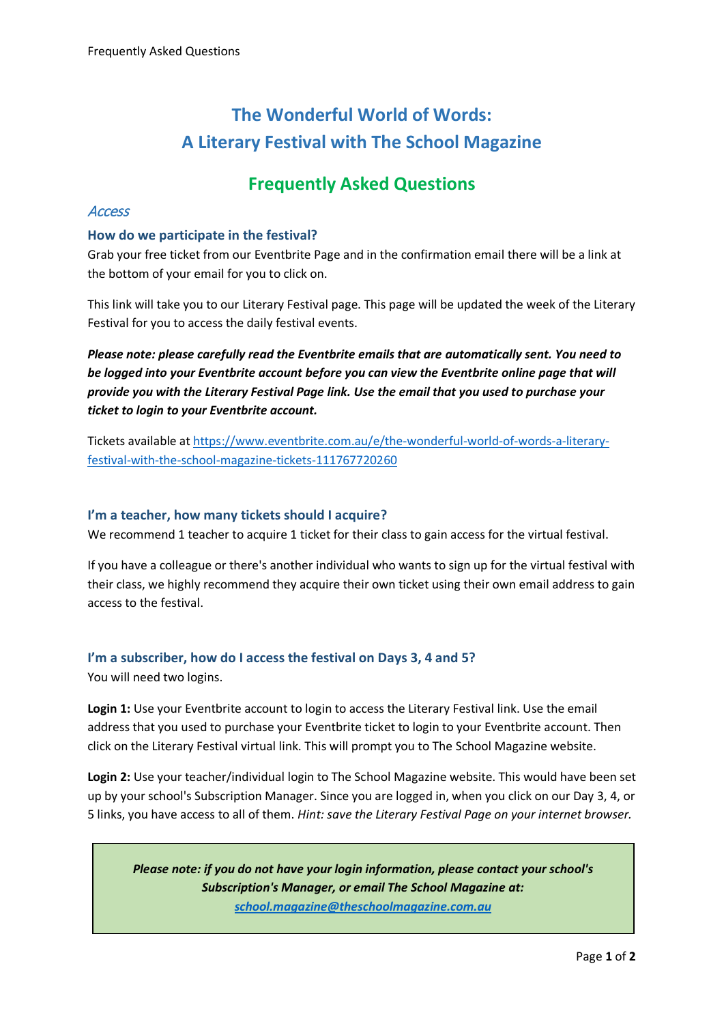# **The Wonderful World of Words: A Literary Festival with The School Magazine**

# **Frequently Asked Questions**

### **Access**

#### **How do we participate in the festival?**

Grab your free ticket from our Eventbrite Page and in the confirmation email there will be a link at the bottom of your email for you to click on.

This link will take you to our Literary Festival page. This page will be updated the week of the Literary Festival for you to access the daily festival events.

*Please note: please carefully read the Eventbrite emails that are automatically sent. You need to be logged into your Eventbrite account before you can view the Eventbrite online page that will provide you with the Literary Festival Page link. Use the email that you used to purchase your ticket to login to your Eventbrite account.*

Tickets available at [https://www.eventbrite.com.au/e/the-wonderful-world-of-words-a-literary](https://www.eventbrite.com.au/e/the-wonderful-world-of-words-a-literary-festival-with-the-school-magazine-tickets-111767720260)[festival-with-the-school-magazine-tickets-111767720260](https://www.eventbrite.com.au/e/the-wonderful-world-of-words-a-literary-festival-with-the-school-magazine-tickets-111767720260)

#### **I'm a teacher, how many tickets should I acquire?**

We recommend 1 teacher to acquire 1 ticket for their class to gain access for the virtual festival.

If you have a colleague or there's another individual who wants to sign up for the virtual festival with their class, we highly recommend they acquire their own ticket using their own email address to gain access to the festival.

# **I'm a subscriber, how do I access the festival on Days 3, 4 and 5?**

You will need two logins.

**Login 1:** Use your Eventbrite account to login to access the Literary Festival link. Use the email address that you used to purchase your Eventbrite ticket to login to your Eventbrite account. Then click on the Literary Festival virtual link. This will prompt you to The School Magazine website.

**Login 2:** Use your teacher/individual login to The School Magazine website. This would have been set up by your school's Subscription Manager. Since you are logged in, when you click on our Day 3, 4, or 5 links, you have access to all of them. *Hint: save the Literary Festival Page on your internet browser.*

*Please note: if you do not have your login information, please contact your school's Subscription's Manager, or email The School Magazine at: [school.magazine@theschoolmagazine.com.au](mailto:school.magazine@theschoolmagazine.com.au)*